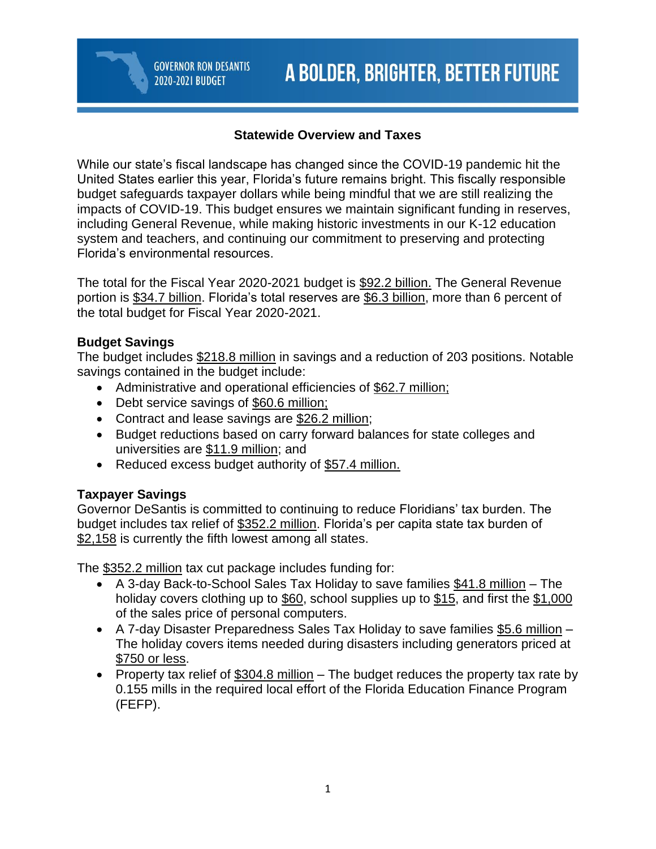### **Statewide Overview and Taxes**

While our state's fiscal landscape has changed since the COVID-19 pandemic hit the United States earlier this year, Florida's future remains bright. This fiscally responsible budget safeguards taxpayer dollars while being mindful that we are still realizing the impacts of COVID-19. This budget ensures we maintain significant funding in reserves, including General Revenue, while making historic investments in our K-12 education system and teachers, and continuing our commitment to preserving and protecting Florida's environmental resources.

The total for the Fiscal Year 2020-2021 budget is \$92.2 billion. The General Revenue portion is \$34.7 billion. Florida's total reserves are \$6.3 billion, more than 6 percent of the total budget for Fiscal Year 2020-2021.

#### **Budget Savings**

The budget includes \$218.8 million in savings and a reduction of 203 positions. Notable savings contained in the budget include:

- Administrative and operational efficiencies of \$62.7 million;
- Debt service savings of \$60.6 million;

**GOVERNOR RON DESANTIS** 

2020-2021 BUDGET

- Contract and lease savings are \$26.2 million;
- Budget reductions based on carry forward balances for state colleges and universities are \$11.9 million; and
- Reduced excess budget authority of \$57.4 million.

## **Taxpayer Savings**

Governor DeSantis is committed to continuing to reduce Floridians' tax burden. The budget includes tax relief of \$352.2 million. Florida's per capita state tax burden of \$2,158 is currently the fifth lowest among all states.

The \$352.2 million tax cut package includes funding for:

- A 3-day Back-to-School Sales Tax Holiday to save families \$41.8 million The holiday covers clothing up to \$60, school supplies up to \$15, and first the \$1,000 of the sales price of personal computers.
- A 7-day Disaster Preparedness Sales Tax Holiday to save families \$5.6 million The holiday covers items needed during disasters including generators priced at \$750 or less.
- Property tax relief of \$304.8 million The budget reduces the property tax rate by 0.155 mills in the required local effort of the Florida Education Finance Program (FEFP).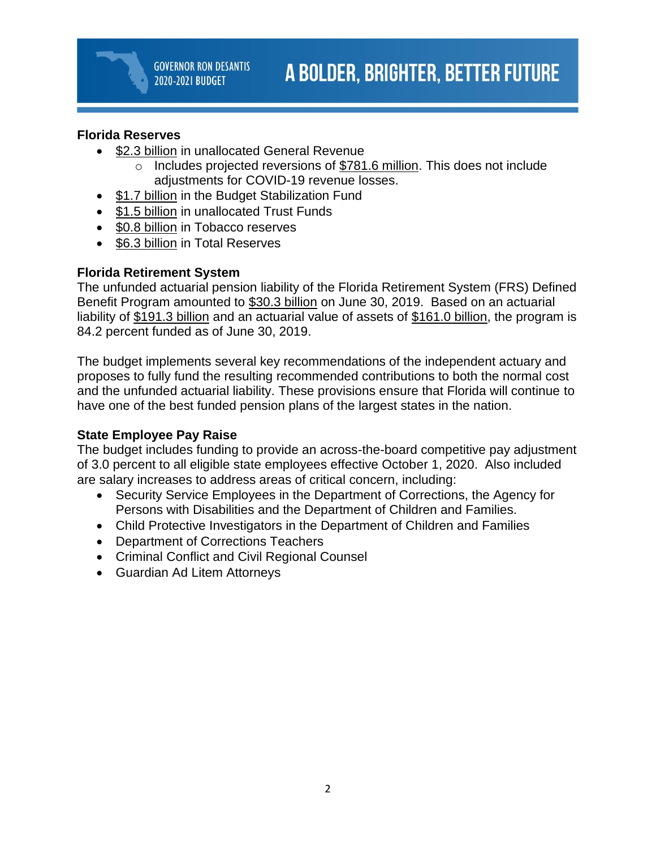### **Florida Reserves**

- \$2.3 billion in unallocated General Revenue
	- o Includes projected reversions of \$781.6 million. This does not include adjustments for COVID-19 revenue losses.
- \$1.7 billion in the Budget Stabilization Fund
- \$1.5 billion in unallocated Trust Funds
- \$0.8 billion in Tobacco reserves
- \$6.3 billion in Total Reserves

### **Florida Retirement System**

The unfunded actuarial pension liability of the Florida Retirement System (FRS) Defined Benefit Program amounted to \$30.3 billion on June 30, 2019. Based on an actuarial liability of \$191.3 billion and an actuarial value of assets of \$161.0 billion, the program is 84.2 percent funded as of June 30, 2019.

The budget implements several key recommendations of the independent actuary and proposes to fully fund the resulting recommended contributions to both the normal cost and the unfunded actuarial liability. These provisions ensure that Florida will continue to have one of the best funded pension plans of the largest states in the nation.

#### **State Employee Pay Raise**

The budget includes funding to provide an across-the-board competitive pay adjustment of 3.0 percent to all eligible state employees effective October 1, 2020. Also included are salary increases to address areas of critical concern, including:

- Security Service Employees in the Department of Corrections, the Agency for Persons with Disabilities and the Department of Children and Families.
- Child Protective Investigators in the Department of Children and Families
- Department of Corrections Teachers
- Criminal Conflict and Civil Regional Counsel
- Guardian Ad Litem Attorneys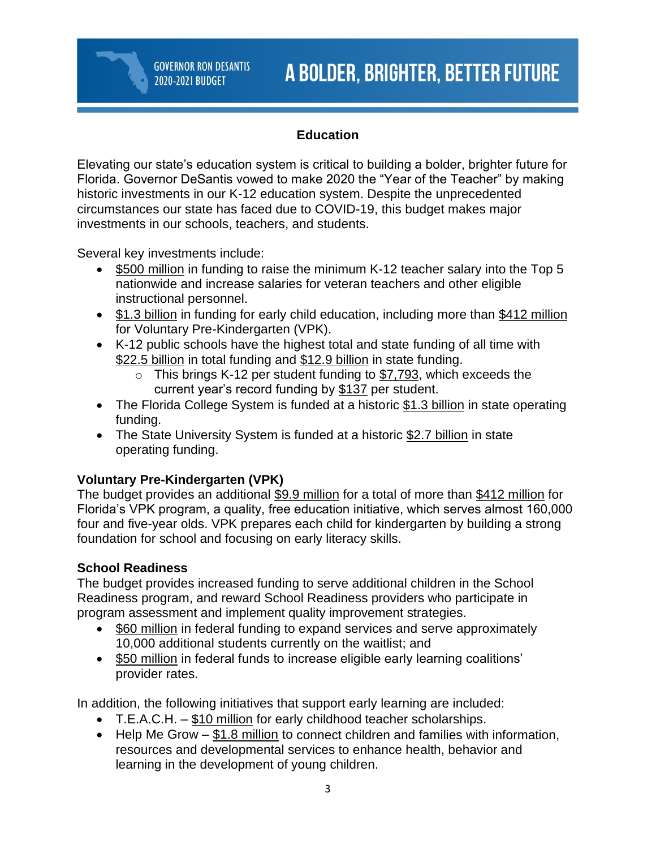## **Education**

Elevating our state's education system is critical to building a bolder, brighter future for Florida. Governor DeSantis vowed to make 2020 the "Year of the Teacher" by making historic investments in our K-12 education system. Despite the unprecedented circumstances our state has faced due to COVID-19, this budget makes major investments in our schools, teachers, and students.

Several key investments include:

- \$500 million in funding to raise the minimum K-12 teacher salary into the Top 5 nationwide and increase salaries for veteran teachers and other eligible instructional personnel.
- \$1.3 billion in funding for early child education, including more than \$412 million for Voluntary Pre-Kindergarten (VPK).
- K-12 public schools have the highest total and state funding of all time with \$22.5 billion in total funding and \$12.9 billion in state funding.
	- $\circ$  This brings K-12 per student funding to \$7,793, which exceeds the current year's record funding by \$137 per student.
- The Florida College System is funded at a historic \$1.3 billion in state operating funding.
- The State University System is funded at a historic \$2.7 billion in state operating funding.

## **Voluntary Pre-Kindergarten (VPK)**

The budget provides an additional \$9.9 million for a total of more than \$412 million for Florida's VPK program, a quality, free education initiative, which serves almost 160,000 four and five-year olds. VPK prepares each child for kindergarten by building a strong foundation for school and focusing on early literacy skills.

## **School Readiness**

The budget provides increased funding to serve additional children in the School Readiness program, and reward School Readiness providers who participate in program assessment and implement quality improvement strategies.

- \$60 million in federal funding to expand services and serve approximately 10,000 additional students currently on the waitlist; and
- \$50 million in federal funds to increase eligible early learning coalitions' provider rates.

In addition, the following initiatives that support early learning are included:

- T.E.A.C.H.  $-$  \$10 million for early childhood teacher scholarships.
- Help Me Grow  $-\frac{181.8}{10}$  million to connect children and families with information, resources and developmental services to enhance health, behavior and learning in the development of young children.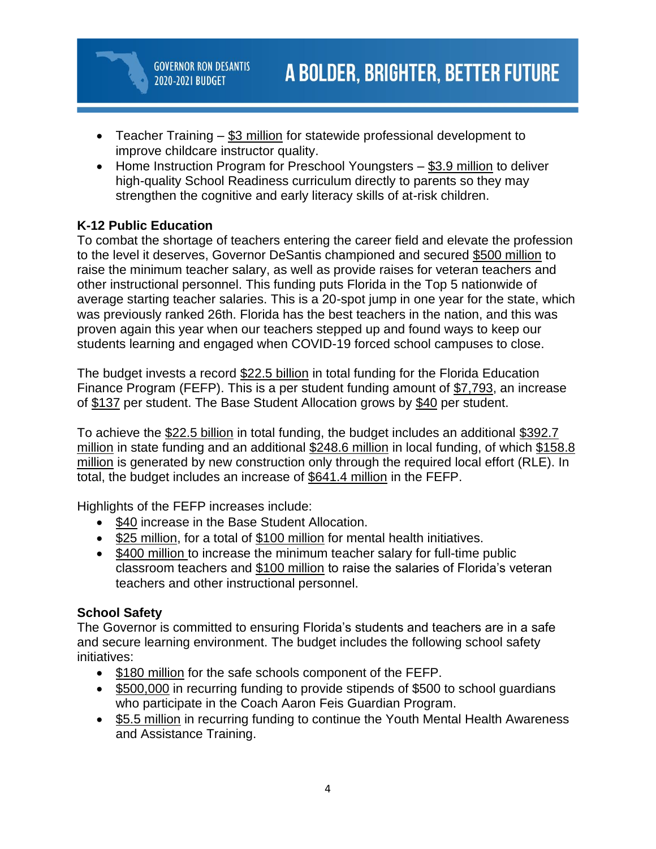- Teacher Training \$3 million for statewide professional development to improve childcare instructor quality.
- Home Instruction Program for Preschool Youngsters \$3.9 million to deliver high-quality School Readiness curriculum directly to parents so they may strengthen the cognitive and early literacy skills of at-risk children.

# **K-12 Public Education**

To combat the shortage of teachers entering the career field and elevate the profession to the level it deserves, Governor DeSantis championed and secured \$500 million to raise the minimum teacher salary, as well as provide raises for veteran teachers and other instructional personnel. This funding puts Florida in the Top 5 nationwide of average starting teacher salaries. This is a 20-spot jump in one year for the state, which was previously ranked 26th. Florida has the best teachers in the nation, and this was proven again this year when our teachers stepped up and found ways to keep our students learning and engaged when COVID-19 forced school campuses to close.

The budget invests a record \$22.5 billion in total funding for the Florida Education Finance Program (FEFP). This is a per student funding amount of \$7,793, an increase of \$137 per student. The Base Student Allocation grows by \$40 per student.

To achieve the \$22.5 billion in total funding, the budget includes an additional \$392.7 million in state funding and an additional \$248.6 million in local funding, of which \$158.8 million is generated by new construction only through the required local effort (RLE). In total, the budget includes an increase of \$641.4 million in the FEFP.

Highlights of the FEFP increases include:

- \$40 increase in the Base Student Allocation.
- \$25 million, for a total of \$100 million for mental health initiatives.
- \$400 million to increase the minimum teacher salary for full-time public classroom teachers and \$100 million to raise the salaries of Florida's veteran teachers and other instructional personnel.

# **School Safety**

The Governor is committed to ensuring Florida's students and teachers are in a safe and secure learning environment. The budget includes the following school safety initiatives:

- \$180 million for the safe schools component of the FEFP.
- \$500,000 in recurring funding to provide stipends of \$500 to school guardians who participate in the Coach Aaron Feis Guardian Program.
- \$5.5 million in recurring funding to continue the Youth Mental Health Awareness and Assistance Training.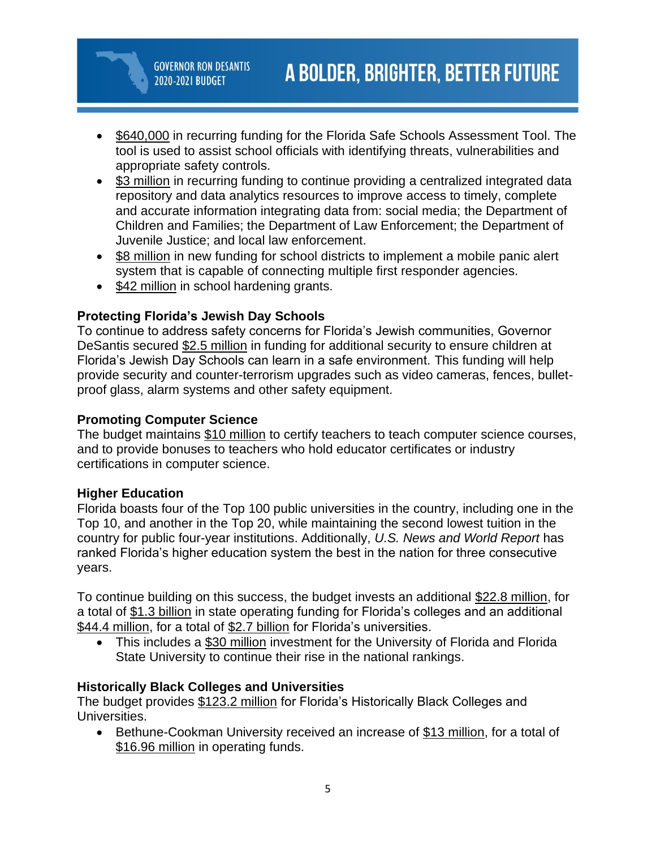- \$640,000 in recurring funding for the Florida Safe Schools Assessment Tool. The tool is used to assist school officials with identifying threats, vulnerabilities and appropriate safety controls.
- \$3 million in recurring funding to continue providing a centralized integrated data repository and data analytics resources to improve access to timely, complete and accurate information integrating data from: social media; the Department of Children and Families; the Department of Law Enforcement; the Department of Juvenile Justice; and local law enforcement.
- \$8 million in new funding for school districts to implement a mobile panic alert system that is capable of connecting multiple first responder agencies.
- \$42 million in school hardening grants.

## **Protecting Florida's Jewish Day Schools**

To continue to address safety concerns for Florida's Jewish communities, Governor DeSantis secured \$2.5 million in funding for additional security to ensure children at Florida's Jewish Day Schools can learn in a safe environment. This funding will help provide security and counter-terrorism upgrades such as video cameras, fences, bulletproof glass, alarm systems and other safety equipment.

## **Promoting Computer Science**

The budget maintains \$10 million to certify teachers to teach computer science courses, and to provide bonuses to teachers who hold educator certificates or industry certifications in computer science.

## **Higher Education**

Florida boasts four of the Top 100 public universities in the country, including one in the Top 10, and another in the Top 20, while maintaining the second lowest tuition in the country for public four-year institutions. Additionally, *U.S. News and World Report* has ranked Florida's higher education system the best in the nation for three consecutive years.

To continue building on this success, the budget invests an additional \$22.8 million, for a total of \$1.3 billion in state operating funding for Florida's colleges and an additional \$44.4 million, for a total of \$2.7 billion for Florida's universities.

• This includes a \$30 million investment for the University of Florida and Florida State University to continue their rise in the national rankings.

## **Historically Black Colleges and Universities**

The budget provides \$123.2 million for Florida's Historically Black Colleges and Universities.

• Bethune-Cookman University received an increase of \$13 million, for a total of \$16.96 million in operating funds.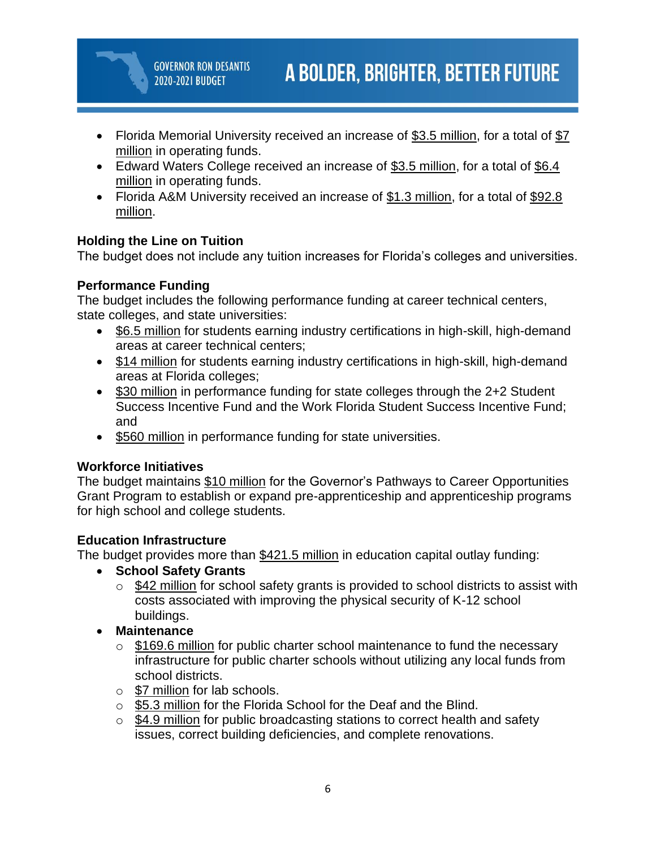- Florida Memorial University received an increase of \$3.5 million, for a total of \$7 million in operating funds.
- Edward Waters College received an increase of \$3.5 million, for a total of \$6.4 million in operating funds.
- Florida A&M University received an increase of \$1.3 million, for a total of \$92.8 million.

# **Holding the Line on Tuition**

The budget does not include any tuition increases for Florida's colleges and universities.

## **Performance Funding**

The budget includes the following performance funding at career technical centers, state colleges, and state universities:

- \$6.5 million for students earning industry certifications in high-skill, high-demand areas at career technical centers;
- \$14 million for students earning industry certifications in high-skill, high-demand areas at Florida colleges;
- \$30 million in performance funding for state colleges through the 2+2 Student Success Incentive Fund and the Work Florida Student Success Incentive Fund; and
- \$560 million in performance funding for state universities.

## **Workforce Initiatives**

The budget maintains \$10 million for the Governor's Pathways to Career Opportunities Grant Program to establish or expand pre-apprenticeship and apprenticeship programs for high school and college students.

# **Education Infrastructure**

The budget provides more than \$421.5 million in education capital outlay funding:

- **School Safety Grants**
	- o \$42 million for school safety grants is provided to school districts to assist with costs associated with improving the physical security of K-12 school buildings.
- **Maintenance**
	- $\circ$  \$169.6 million for public charter school maintenance to fund the necessary infrastructure for public charter schools without utilizing any local funds from school districts.
	- o \$7 million for lab schools.
	- o \$5.3 million for the Florida School for the Deaf and the Blind.
	- o \$4.9 million for public broadcasting stations to correct health and safety issues, correct building deficiencies, and complete renovations.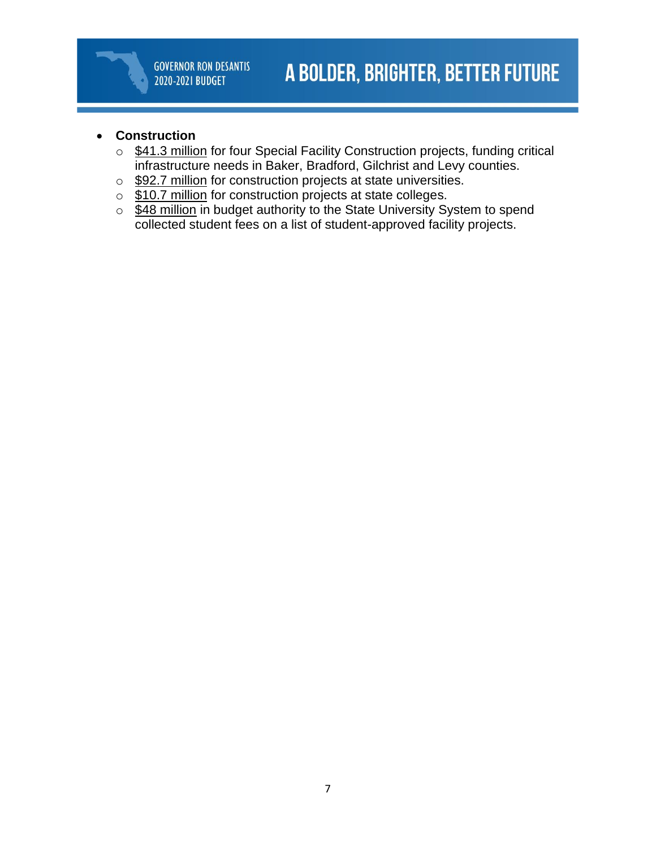## • **Construction**

- \$41.3 million for four Special Facility Construction projects, funding critical infrastructure needs in Baker, Bradford, Gilchrist and Levy counties.
- o \$92.7 million for construction projects at state universities.
- $\circ$  \$10.7 million for construction projects at state colleges.
- o \$48 million in budget authority to the State University System to spend collected student fees on a list of student-approved facility projects.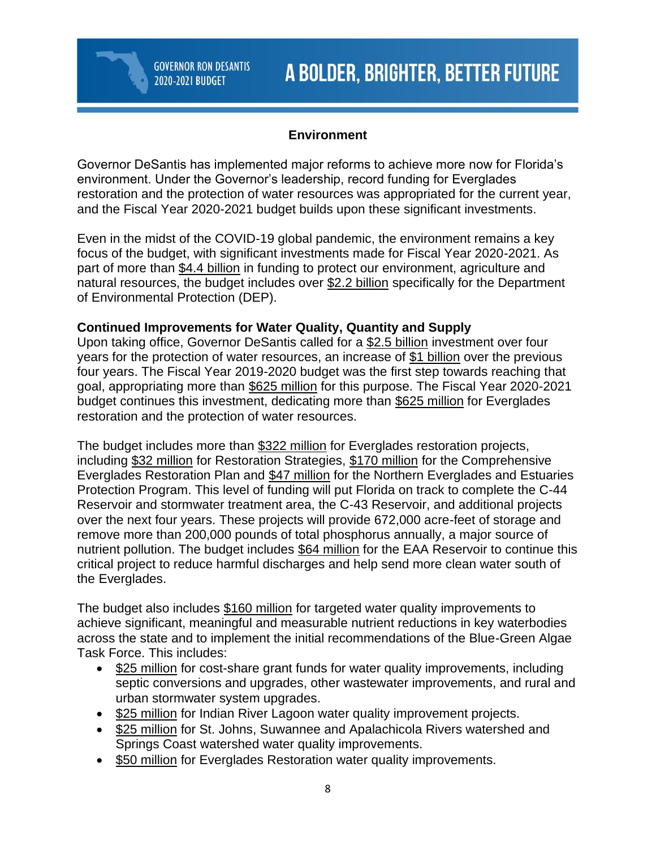## **Environment**

Governor DeSantis has implemented major reforms to achieve more now for Florida's environment. Under the Governor's leadership, record funding for Everglades restoration and the protection of water resources was appropriated for the current year, and the Fiscal Year 2020-2021 budget builds upon these significant investments.

Even in the midst of the COVID-19 global pandemic, the environment remains a key focus of the budget, with significant investments made for Fiscal Year 2020-2021. As part of more than \$4.4 billion in funding to protect our environment, agriculture and natural resources, the budget includes over \$2.2 billion specifically for the Department of Environmental Protection (DEP).

### **Continued Improvements for Water Quality, Quantity and Supply**

Upon taking office, Governor DeSantis called for a \$2.5 billion investment over four years for the protection of water resources, an increase of \$1 billion over the previous four years. The Fiscal Year 2019-2020 budget was the first step towards reaching that goal, appropriating more than \$625 million for this purpose. The Fiscal Year 2020-2021 budget continues this investment, dedicating more than \$625 million for Everglades restoration and the protection of water resources.

The budget includes more than \$322 million for Everglades restoration projects, including \$32 million for Restoration Strategies, \$170 million for the Comprehensive Everglades Restoration Plan and \$47 million for the Northern Everglades and Estuaries Protection Program. This level of funding will put Florida on track to complete the C-44 Reservoir and stormwater treatment area, the C-43 Reservoir, and additional projects over the next four years. These projects will provide 672,000 acre-feet of storage and remove more than 200,000 pounds of total phosphorus annually, a major source of nutrient pollution. The budget includes \$64 million for the EAA Reservoir to continue this critical project to reduce harmful discharges and help send more clean water south of the Everglades.

The budget also includes \$160 million for targeted water quality improvements to achieve significant, meaningful and measurable nutrient reductions in key waterbodies across the state and to implement the initial recommendations of the Blue-Green Algae Task Force. This includes:

- \$25 million for cost-share grant funds for water quality improvements, including septic conversions and upgrades, other wastewater improvements, and rural and urban stormwater system upgrades.
- \$25 million for Indian River Lagoon water quality improvement projects.
- \$25 million for St. Johns, Suwannee and Apalachicola Rivers watershed and Springs Coast watershed water quality improvements.
- \$50 million for Everglades Restoration water quality improvements.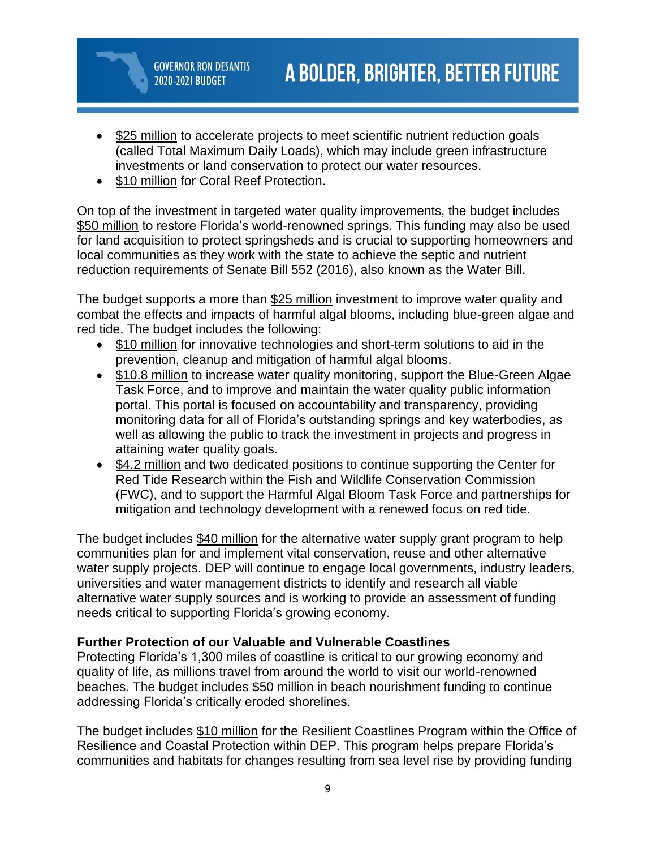- \$25 million to accelerate projects to meet scientific nutrient reduction goals (called Total Maximum Daily Loads), which may include green infrastructure investments or land conservation to protect our water resources.
- \$10 million for Coral Reef Protection.

**GOVERNOR RON DESANTIS** 

2020-2021 BUDGET

On top of the investment in targeted water quality improvements, the budget includes \$50 million to restore Florida's world-renowned springs. This funding may also be used for land acquisition to protect springsheds and is crucial to supporting homeowners and local communities as they work with the state to achieve the septic and nutrient reduction requirements of Senate Bill 552 (2016), also known as the Water Bill.

The budget supports a more than \$25 million investment to improve water quality and combat the effects and impacts of harmful algal blooms, including blue-green algae and red tide. The budget includes the following:

- \$10 million for innovative technologies and short-term solutions to aid in the prevention, cleanup and mitigation of harmful algal blooms.
- \$10.8 million to increase water quality monitoring, support the Blue-Green Algae Task Force, and to improve and maintain the water quality public information portal. This portal is focused on accountability and transparency, providing monitoring data for all of Florida's outstanding springs and key waterbodies, as well as allowing the public to track the investment in projects and progress in attaining water quality goals.
- \$4.2 million and two dedicated positions to continue supporting the Center for Red Tide Research within the Fish and Wildlife Conservation Commission (FWC), and to support the Harmful Algal Bloom Task Force and partnerships for mitigation and technology development with a renewed focus on red tide.

The budget includes \$40 million for the alternative water supply grant program to help communities plan for and implement vital conservation, reuse and other alternative water supply projects. DEP will continue to engage local governments, industry leaders, universities and water management districts to identify and research all viable alternative water supply sources and is working to provide an assessment of funding needs critical to supporting Florida's growing economy.

#### **Further Protection of our Valuable and Vulnerable Coastlines**

Protecting Florida's 1,300 miles of coastline is critical to our growing economy and quality of life, as millions travel from around the world to visit our world-renowned beaches. The budget includes \$50 million in beach nourishment funding to continue addressing Florida's critically eroded shorelines.

The budget includes \$10 million for the Resilient Coastlines Program within the Office of Resilience and Coastal Protection within DEP. This program helps prepare Florida's communities and habitats for changes resulting from sea level rise by providing funding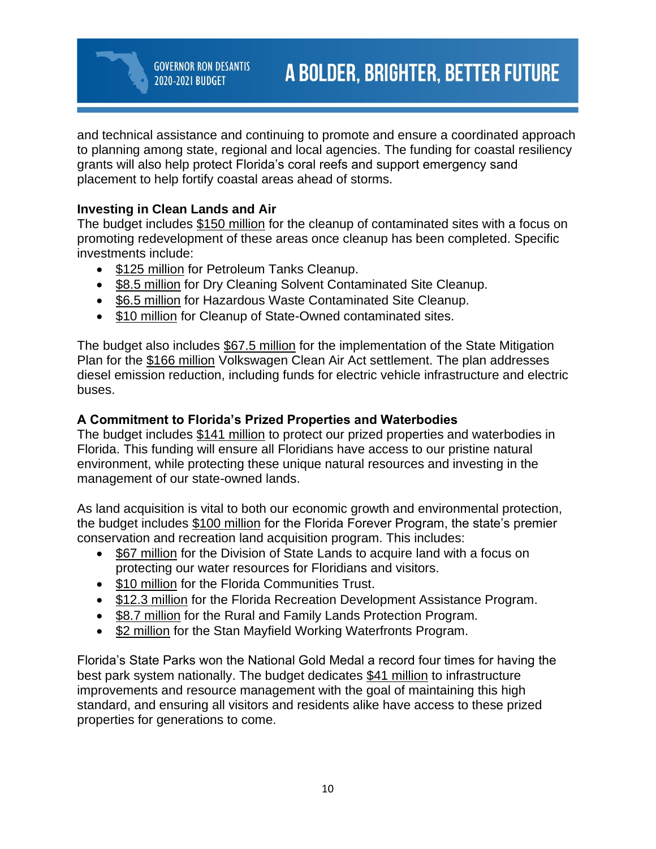and technical assistance and continuing to promote and ensure a coordinated approach to planning among state, regional and local agencies. The funding for coastal resiliency grants will also help protect Florida's coral reefs and support emergency sand placement to help fortify coastal areas ahead of storms.

## **Investing in Clean Lands and Air**

2020-2021 BUDGET

The budget includes \$150 million for the cleanup of contaminated sites with a focus on promoting redevelopment of these areas once cleanup has been completed. Specific investments include:

- \$125 million for Petroleum Tanks Cleanup.
- \$8.5 million for Dry Cleaning Solvent Contaminated Site Cleanup.
- \$6.5 million for Hazardous Waste Contaminated Site Cleanup.
- \$10 million for Cleanup of State-Owned contaminated sites.

The budget also includes \$67.5 million for the implementation of the State Mitigation Plan for the \$166 million Volkswagen Clean Air Act settlement. The plan addresses diesel emission reduction, including funds for electric vehicle infrastructure and electric buses.

## **A Commitment to Florida's Prized Properties and Waterbodies**

The budget includes \$141 million to protect our prized properties and waterbodies in Florida. This funding will ensure all Floridians have access to our pristine natural environment, while protecting these unique natural resources and investing in the management of our state-owned lands.

As land acquisition is vital to both our economic growth and environmental protection, the budget includes \$100 million for the Florida Forever Program, the state's premier conservation and recreation land acquisition program. This includes:

- \$67 million for the Division of State Lands to acquire land with a focus on protecting our water resources for Floridians and visitors.
- \$10 million for the Florida Communities Trust.
- \$12.3 million for the Florida Recreation Development Assistance Program.
- \$8.7 million for the Rural and Family Lands Protection Program.
- \$2 million for the Stan Mayfield Working Waterfronts Program.

Florida's State Parks won the National Gold Medal a record four times for having the best park system nationally. The budget dedicates \$41 million to infrastructure improvements and resource management with the goal of maintaining this high standard, and ensuring all visitors and residents alike have access to these prized properties for generations to come.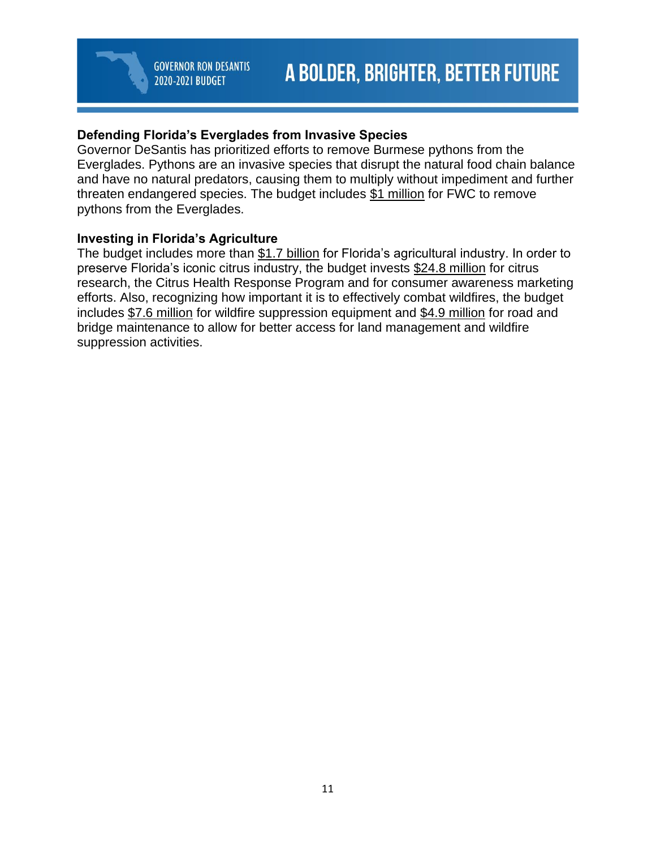## **Defending Florida's Everglades from Invasive Species**

Governor DeSantis has prioritized efforts to remove Burmese pythons from the Everglades. Pythons are an invasive species that disrupt the natural food chain balance and have no natural predators, causing them to multiply without impediment and further threaten endangered species. The budget includes \$1 million for FWC to remove pythons from the Everglades.

### **Investing in Florida's Agriculture**

The budget includes more than \$1.7 billion for Florida's agricultural industry. In order to preserve Florida's iconic citrus industry, the budget invests \$24.8 million for citrus research, the Citrus Health Response Program and for consumer awareness marketing efforts. Also, recognizing how important it is to effectively combat wildfires, the budget includes \$7.6 million for wildfire suppression equipment and \$4.9 million for road and bridge maintenance to allow for better access for land management and wildfire suppression activities.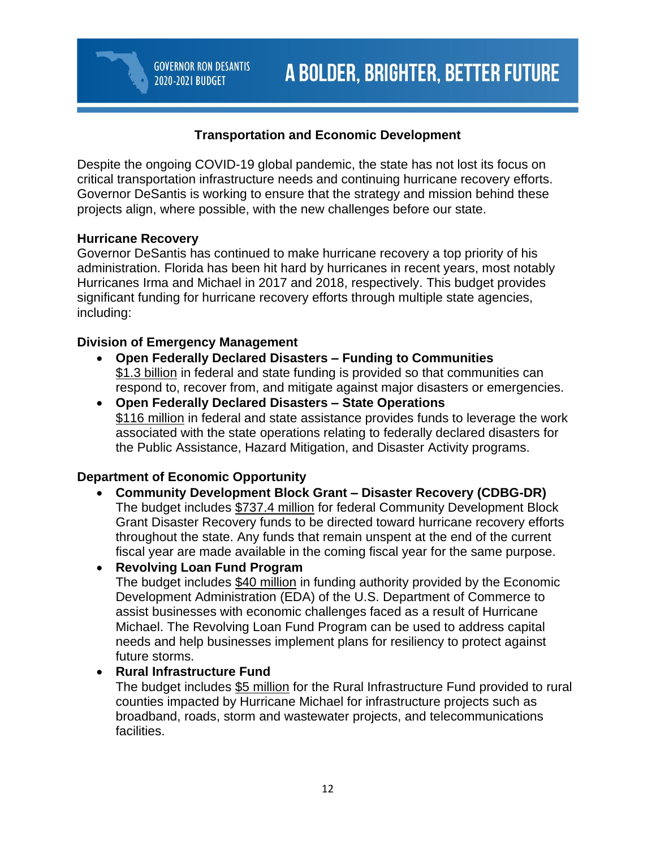## **Transportation and Economic Development**

Despite the ongoing COVID-19 global pandemic, the state has not lost its focus on critical transportation infrastructure needs and continuing hurricane recovery efforts. Governor DeSantis is working to ensure that the strategy and mission behind these projects align, where possible, with the new challenges before our state.

### **Hurricane Recovery**

Governor DeSantis has continued to make hurricane recovery a top priority of his administration. Florida has been hit hard by hurricanes in recent years, most notably Hurricanes Irma and Michael in 2017 and 2018, respectively. This budget provides significant funding for hurricane recovery efforts through multiple state agencies, including:

### **Division of Emergency Management**

2020-2021 BUDGET

- **Open Federally Declared Disasters – Funding to Communities** \$1.3 billion in federal and state funding is provided so that communities can respond to, recover from, and mitigate against major disasters or emergencies.
- **Open Federally Declared Disasters – State Operations** \$116 million in federal and state assistance provides funds to leverage the work associated with the state operations relating to federally declared disasters for the Public Assistance, Hazard Mitigation, and Disaster Activity programs.

## **Department of Economic Opportunity**

• **Community Development Block Grant – Disaster Recovery (CDBG-DR)** The budget includes \$737.4 million for federal Community Development Block Grant Disaster Recovery funds to be directed toward hurricane recovery efforts throughout the state. Any funds that remain unspent at the end of the current fiscal year are made available in the coming fiscal year for the same purpose.

## • **Revolving Loan Fund Program**

The budget includes \$40 million in funding authority provided by the Economic Development Administration (EDA) of the U.S. Department of Commerce to assist businesses with economic challenges faced as a result of Hurricane Michael. The Revolving Loan Fund Program can be used to address capital needs and help businesses implement plans for resiliency to protect against future storms.

#### • **Rural Infrastructure Fund**

The budget includes \$5 million for the Rural Infrastructure Fund provided to rural counties impacted by Hurricane Michael for infrastructure projects such as broadband, roads, storm and wastewater projects, and telecommunications facilities.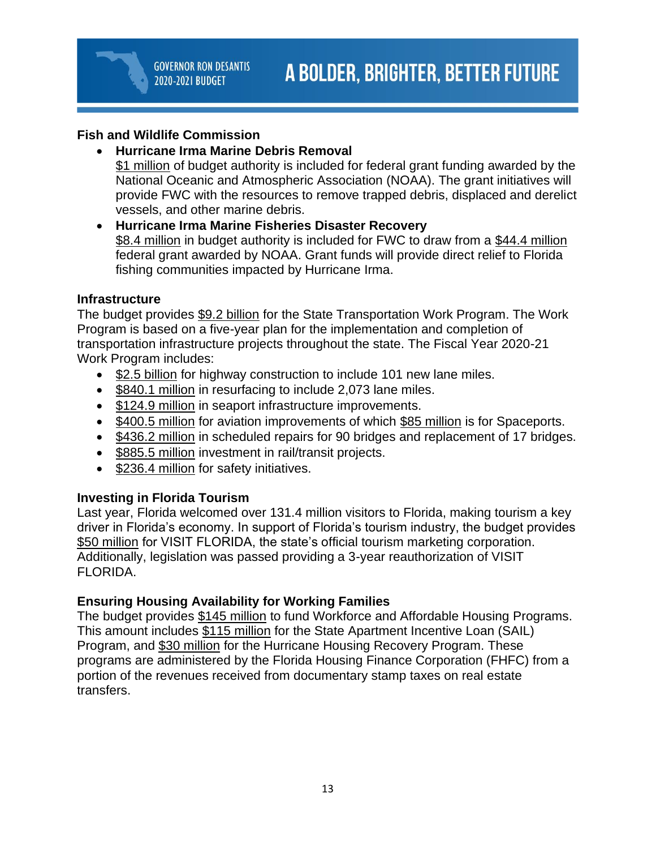## **Fish and Wildlife Commission**

- **Hurricane Irma Marine Debris Removal** \$1 million of budget authority is included for federal grant funding awarded by the
	- National Oceanic and Atmospheric Association (NOAA). The grant initiatives will provide FWC with the resources to remove trapped debris, displaced and derelict vessels, and other marine debris.
- **Hurricane Irma Marine Fisheries Disaster Recovery** \$8.4 million in budget authority is included for FWC to draw from a \$44.4 million federal grant awarded by NOAA. Grant funds will provide direct relief to Florida fishing communities impacted by Hurricane Irma.

## **Infrastructure**

The budget provides \$9.2 billion for the State Transportation Work Program. The Work Program is based on a five-year plan for the implementation and completion of transportation infrastructure projects throughout the state. The Fiscal Year 2020-21 Work Program includes:

- \$2.5 billion for highway construction to include 101 new lane miles.
- \$840.1 million in resurfacing to include 2,073 lane miles.
- \$124.9 million in seaport infrastructure improvements.
- \$400.5 million for aviation improvements of which \$85 million is for Spaceports.
- \$436.2 million in scheduled repairs for 90 bridges and replacement of 17 bridges.
- \$885.5 million investment in rail/transit projects.
- \$236.4 million for safety initiatives.

# **Investing in Florida Tourism**

Last year, Florida welcomed over 131.4 million visitors to Florida, making tourism a key driver in Florida's economy. In support of Florida's tourism industry, the budget provides \$50 million for VISIT FLORIDA, the state's official tourism marketing corporation. Additionally, legislation was passed providing a 3-year reauthorization of VISIT FLORIDA.

## **Ensuring Housing Availability for Working Families**

The budget provides \$145 million to fund Workforce and Affordable Housing Programs. This amount includes \$115 million for the State Apartment Incentive Loan (SAIL) Program, and \$30 million for the Hurricane Housing Recovery Program. These programs are administered by the Florida Housing Finance Corporation (FHFC) from a portion of the revenues received from documentary stamp taxes on real estate transfers.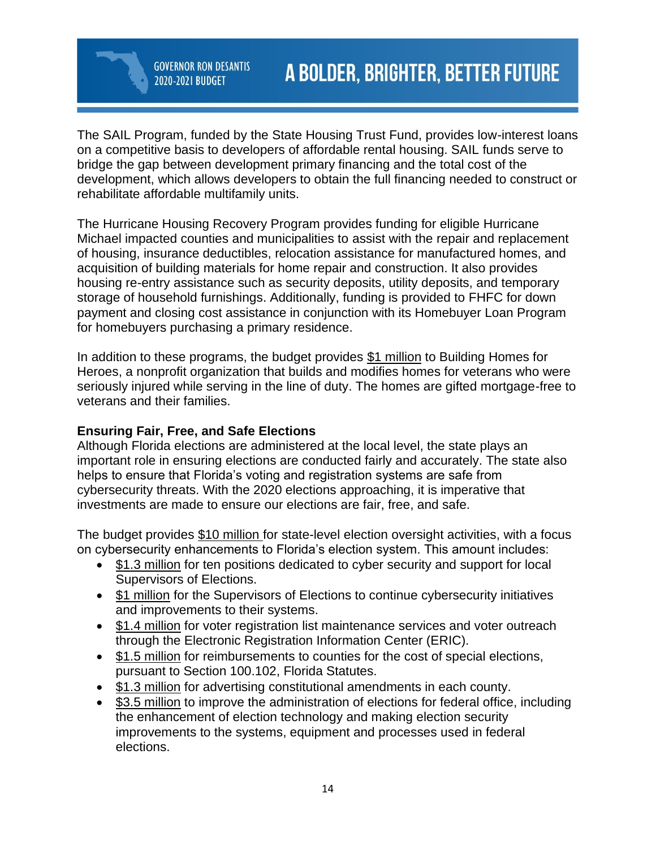**GOVERNOR RON DESANTIS** 2020-2021 BUDGET

The SAIL Program, funded by the State Housing Trust Fund, provides low-interest loans on a competitive basis to developers of affordable rental housing. SAIL funds serve to bridge the gap between development primary financing and the total cost of the development, which allows developers to obtain the full financing needed to construct or rehabilitate affordable multifamily units.

The Hurricane Housing Recovery Program provides funding for eligible Hurricane Michael impacted counties and municipalities to assist with the repair and replacement of housing, insurance deductibles, relocation assistance for manufactured homes, and acquisition of building materials for home repair and construction. It also provides housing re-entry assistance such as security deposits, utility deposits, and temporary storage of household furnishings. Additionally, funding is provided to FHFC for down payment and closing cost assistance in conjunction with its Homebuyer Loan Program for homebuyers purchasing a primary residence.

In addition to these programs, the budget provides \$1 million to Building Homes for Heroes, a nonprofit organization that builds and modifies homes for veterans who were seriously injured while serving in the line of duty. The homes are gifted mortgage-free to veterans and their families.

## **Ensuring Fair, Free, and Safe Elections**

Although Florida elections are administered at the local level, the state plays an important role in ensuring elections are conducted fairly and accurately. The state also helps to ensure that Florida's voting and registration systems are safe from cybersecurity threats. With the 2020 elections approaching, it is imperative that investments are made to ensure our elections are fair, free, and safe.

The budget provides \$10 million for state-level election oversight activities, with a focus on cybersecurity enhancements to Florida's election system. This amount includes:

- \$1.3 million for ten positions dedicated to cyber security and support for local Supervisors of Elections.
- **\$1 million** for the Supervisors of Elections to continue cybersecurity initiatives and improvements to their systems.
- \$1.4 million for voter registration list maintenance services and voter outreach through the Electronic Registration Information Center (ERIC).
- \$1.5 million for reimbursements to counties for the cost of special elections, pursuant to Section 100.102, Florida Statutes.
- \$1.3 million for advertising constitutional amendments in each county.
- \$3.5 million to improve the administration of elections for federal office, including the enhancement of election technology and making election security improvements to the systems, equipment and processes used in federal elections.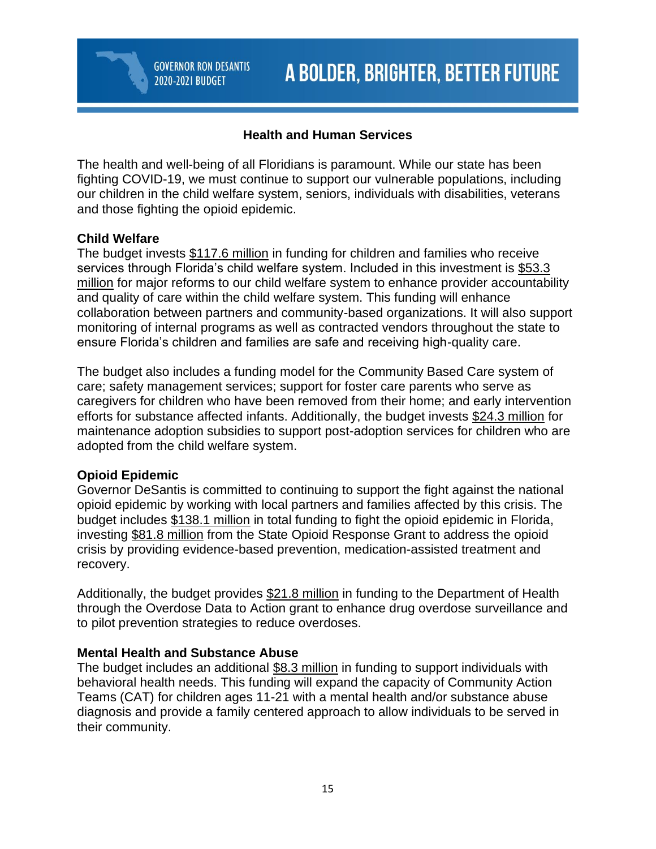## **Health and Human Services**

The health and well-being of all Floridians is paramount. While our state has been fighting COVID-19, we must continue to support our vulnerable populations, including our children in the child welfare system, seniors, individuals with disabilities, veterans and those fighting the opioid epidemic.

### **Child Welfare**

The budget invests \$117.6 million in funding for children and families who receive services through Florida's child welfare system. Included in this investment is \$53.3 million for major reforms to our child welfare system to enhance provider accountability and quality of care within the child welfare system. This funding will enhance collaboration between partners and community-based organizations. It will also support monitoring of internal programs as well as contracted vendors throughout the state to ensure Florida's children and families are safe and receiving high-quality care.

The budget also includes a funding model for the Community Based Care system of care; safety management services; support for foster care parents who serve as caregivers for children who have been removed from their home; and early intervention efforts for substance affected infants. Additionally, the budget invests \$24.3 million for maintenance adoption subsidies to support post-adoption services for children who are adopted from the child welfare system.

## **Opioid Epidemic**

Governor DeSantis is committed to continuing to support the fight against the national opioid epidemic by working with local partners and families affected by this crisis. The budget includes \$138.1 million in total funding to fight the opioid epidemic in Florida, investing \$81.8 million from the State Opioid Response Grant to address the opioid crisis by providing evidence-based prevention, medication-assisted treatment and recovery.

Additionally, the budget provides \$21.8 million in funding to the Department of Health through the Overdose Data to Action grant to enhance drug overdose surveillance and to pilot prevention strategies to reduce overdoses.

#### **Mental Health and Substance Abuse**

The budget includes an additional \$8.3 million in funding to support individuals with behavioral health needs. This funding will expand the capacity of Community Action Teams (CAT) for children ages 11-21 with a mental health and/or substance abuse diagnosis and provide a family centered approach to allow individuals to be served in their community.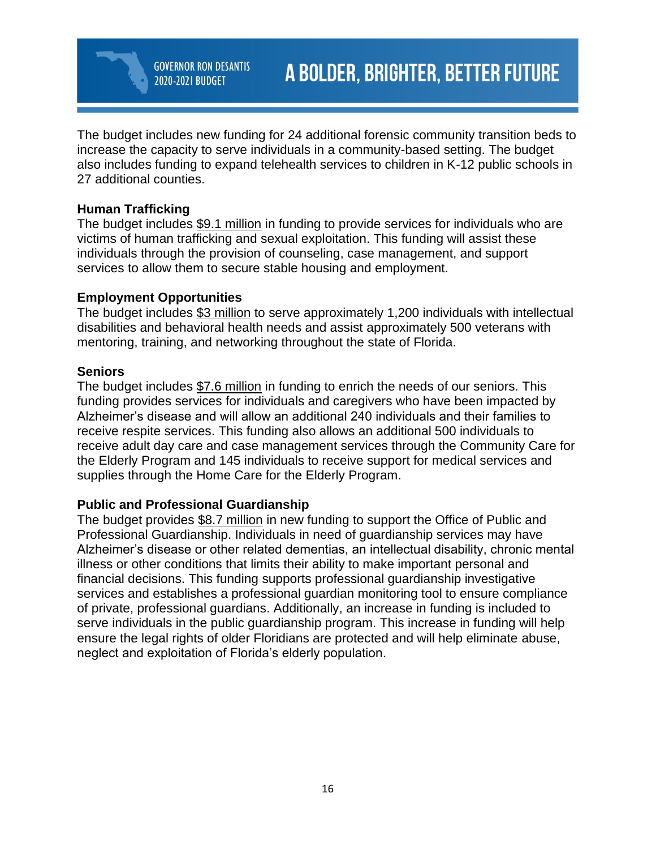The budget includes new funding for 24 additional forensic community transition beds to increase the capacity to serve individuals in a community-based setting. The budget also includes funding to expand telehealth services to children in K-12 public schools in 27 additional counties.

## **Human Trafficking**

The budget includes \$9.1 million in funding to provide services for individuals who are victims of human trafficking and sexual exploitation. This funding will assist these individuals through the provision of counseling, case management, and support services to allow them to secure stable housing and employment.

### **Employment Opportunities**

The budget includes \$3 million to serve approximately 1,200 individuals with intellectual disabilities and behavioral health needs and assist approximately 500 veterans with mentoring, training, and networking throughout the state of Florida.

#### **Seniors**

The budget includes \$7.6 million in funding to enrich the needs of our seniors. This funding provides services for individuals and caregivers who have been impacted by Alzheimer's disease and will allow an additional 240 individuals and their families to receive respite services. This funding also allows an additional 500 individuals to receive adult day care and case management services through the Community Care for the Elderly Program and 145 individuals to receive support for medical services and supplies through the Home Care for the Elderly Program.

## **Public and Professional Guardianship**

The budget provides \$8.7 million in new funding to support the Office of Public and Professional Guardianship. Individuals in need of guardianship services may have Alzheimer's disease or other related dementias, an intellectual disability, chronic mental illness or other conditions that limits their ability to make important personal and financial decisions. This funding supports professional guardianship investigative services and establishes a professional guardian monitoring tool to ensure compliance of private, professional guardians. Additionally, an increase in funding is included to serve individuals in the public guardianship program. This increase in funding will help ensure the legal rights of older Floridians are protected and will help eliminate abuse, neglect and exploitation of Florida's elderly population.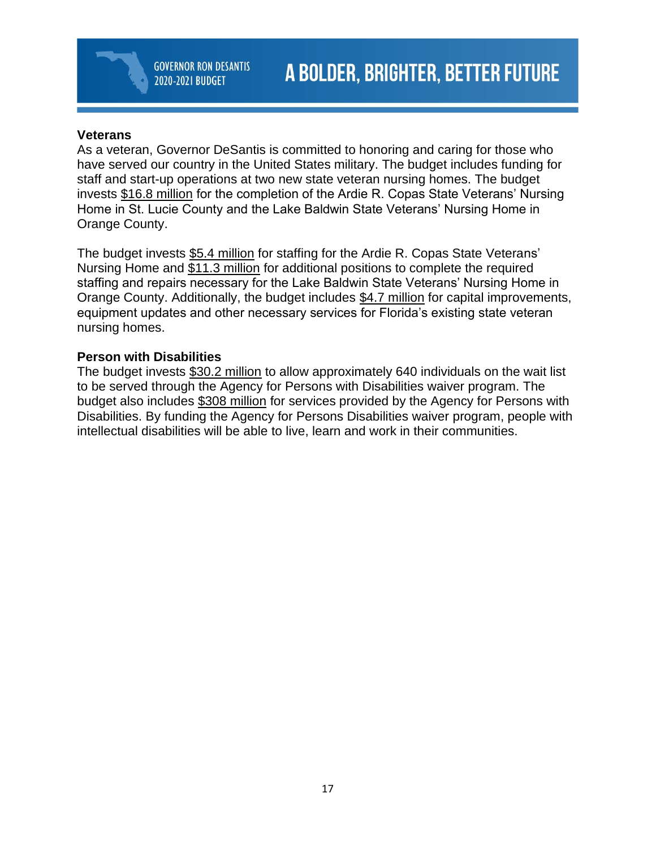#### **Veterans**

As a veteran, Governor DeSantis is committed to honoring and caring for those who have served our country in the United States military. The budget includes funding for staff and start-up operations at two new state veteran nursing homes. The budget invests \$16.8 million for the completion of the Ardie R. Copas State Veterans' Nursing Home in St. Lucie County and the Lake Baldwin State Veterans' Nursing Home in Orange County.

The budget invests \$5.4 million for staffing for the Ardie R. Copas State Veterans' Nursing Home and \$11.3 million for additional positions to complete the required staffing and repairs necessary for the Lake Baldwin State Veterans' Nursing Home in Orange County. Additionally, the budget includes \$4.7 million for capital improvements, equipment updates and other necessary services for Florida's existing state veteran nursing homes.

#### **Person with Disabilities**

The budget invests \$30.2 million to allow approximately 640 individuals on the wait list to be served through the Agency for Persons with Disabilities waiver program. The budget also includes \$308 million for services provided by the Agency for Persons with Disabilities. By funding the Agency for Persons Disabilities waiver program, people with intellectual disabilities will be able to live, learn and work in their communities.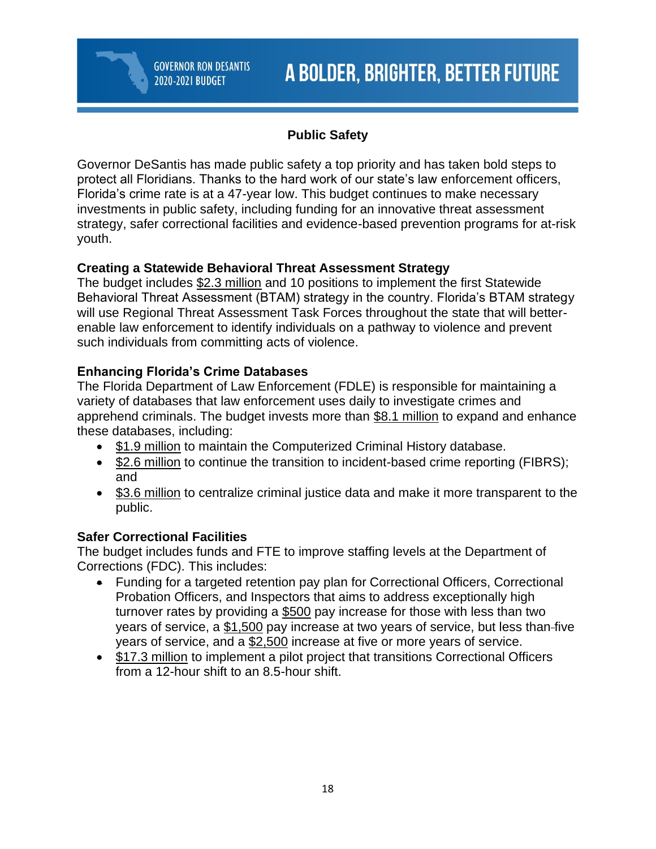# **Public Safety**

Governor DeSantis has made public safety a top priority and has taken bold steps to protect all Floridians. Thanks to the hard work of our state's law enforcement officers, Florida's crime rate is at a 47-year low. This budget continues to make necessary investments in public safety, including funding for an innovative threat assessment strategy, safer correctional facilities and evidence-based prevention programs for at-risk youth.

# **Creating a Statewide Behavioral Threat Assessment Strategy**

The budget includes \$2.3 million and 10 positions to implement the first Statewide Behavioral Threat Assessment (BTAM) strategy in the country. Florida's BTAM strategy will use Regional Threat Assessment Task Forces throughout the state that will betterenable law enforcement to identify individuals on a pathway to violence and prevent such individuals from committing acts of violence.

# **Enhancing Florida's Crime Databases**

The Florida Department of Law Enforcement (FDLE) is responsible for maintaining a variety of databases that law enforcement uses daily to investigate crimes and apprehend criminals. The budget invests more than \$8.1 million to expand and enhance these databases, including:

- \$1.9 million to maintain the Computerized Criminal History database.
- \$2.6 million to continue the transition to incident-based crime reporting (FIBRS); and
- \$3.6 million to centralize criminal justice data and make it more transparent to the public.

# **Safer Correctional Facilities**

The budget includes funds and FTE to improve staffing levels at the Department of Corrections (FDC). This includes:

- Funding for a targeted retention pay plan for Correctional Officers, Correctional Probation Officers, and Inspectors that aims to address exceptionally high turnover rates by providing a \$500 pay increase for those with less than two years of service, a \$1,500 pay increase at two years of service, but less than five years of service, and a \$2,500 increase at five or more years of service.
- \$17.3 million to implement a pilot project that transitions Correctional Officers from a 12-hour shift to an 8.5-hour shift.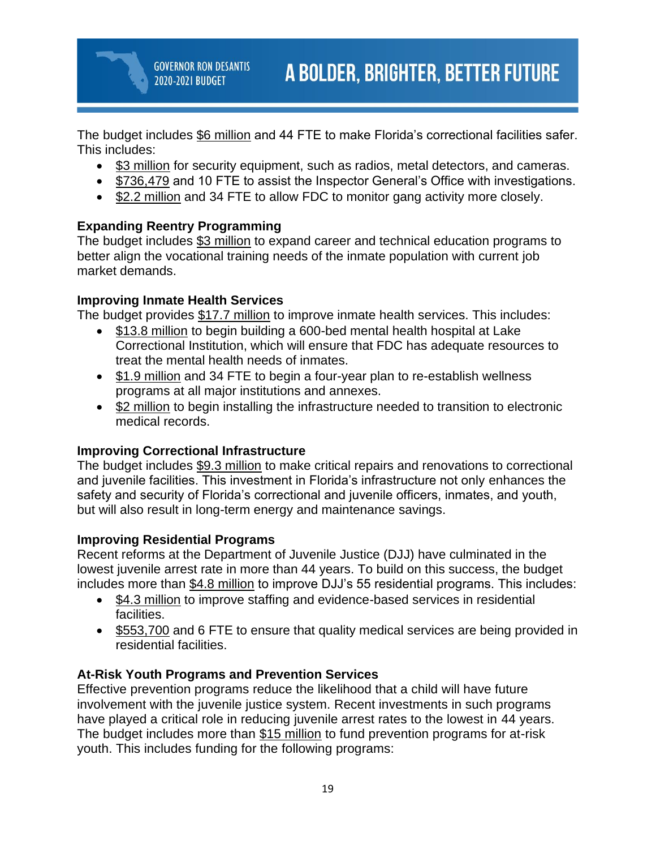The budget includes \$6 million and 44 FTE to make Florida's correctional facilities safer. This includes:

- \$3 million for security equipment, such as radios, metal detectors, and cameras.
- \$736,479 and 10 FTE to assist the Inspector General's Office with investigations.
- \$2.2 million and 34 FTE to allow FDC to monitor gang activity more closely.

## **Expanding Reentry Programming**

The budget includes \$3 million to expand career and technical education programs to better align the vocational training needs of the inmate population with current job market demands.

## **Improving Inmate Health Services**

The budget provides \$17.7 million to improve inmate health services. This includes:

- \$13.8 million to begin building a 600-bed mental health hospital at Lake Correctional Institution, which will ensure that FDC has adequate resources to treat the mental health needs of inmates.
- \$1.9 million and 34 FTE to begin a four-year plan to re-establish wellness programs at all major institutions and annexes.
- \$2 million to begin installing the infrastructure needed to transition to electronic medical records.

# **Improving Correctional Infrastructure**

The budget includes \$9.3 million to make critical repairs and renovations to correctional and juvenile facilities. This investment in Florida's infrastructure not only enhances the safety and security of Florida's correctional and juvenile officers, inmates, and youth, but will also result in long-term energy and maintenance savings.

## **Improving Residential Programs**

Recent reforms at the Department of Juvenile Justice (DJJ) have culminated in the lowest juvenile arrest rate in more than 44 years. To build on this success, the budget includes more than \$4.8 million to improve DJJ's 55 residential programs. This includes:

- \$4.3 million to improve staffing and evidence-based services in residential facilities.
- \$553,700 and 6 FTE to ensure that quality medical services are being provided in residential facilities.

# **At-Risk Youth Programs and Prevention Services**

Effective prevention programs reduce the likelihood that a child will have future involvement with the juvenile justice system. Recent investments in such programs have played a critical role in reducing juvenile arrest rates to the lowest in 44 years. The budget includes more than \$15 million to fund prevention programs for at-risk youth. This includes funding for the following programs: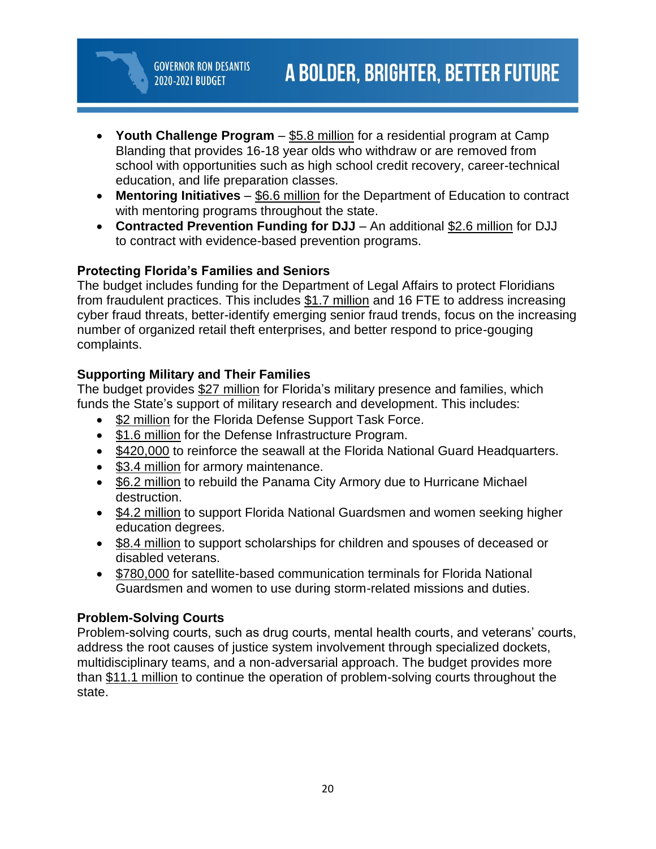- **Youth Challenge Program** \$5.8 million for a residential program at Camp Blanding that provides 16-18 year olds who withdraw or are removed from school with opportunities such as high school credit recovery, career-technical education, and life preparation classes.
- **Mentoring Initiatives** \$6.6 million for the Department of Education to contract with mentoring programs throughout the state.
- **Contracted Prevention Funding for DJJ** An additional \$2.6 million for DJJ to contract with evidence-based prevention programs.

## **Protecting Florida's Families and Seniors**

The budget includes funding for the Department of Legal Affairs to protect Floridians from fraudulent practices. This includes \$1.7 million and 16 FTE to address increasing cyber fraud threats, better-identify emerging senior fraud trends, focus on the increasing number of organized retail theft enterprises, and better respond to price-gouging complaints.

## **Supporting Military and Their Families**

The budget provides \$27 million for Florida's military presence and families, which funds the State's support of military research and development. This includes:

- \$2 million for the Florida Defense Support Task Force.
- \$1.6 million for the Defense Infrastructure Program.
- \$420,000 to reinforce the seawall at the Florida National Guard Headquarters.
- \$3.4 million for armory maintenance.
- \$6.2 million to rebuild the Panama City Armory due to Hurricane Michael destruction.
- \$4.2 million to support Florida National Guardsmen and women seeking higher education degrees.
- \$8.4 million to support scholarships for children and spouses of deceased or disabled veterans.
- \$780,000 for satellite-based communication terminals for Florida National Guardsmen and women to use during storm-related missions and duties.

## **Problem-Solving Courts**

Problem-solving courts, such as drug courts, mental health courts, and veterans' courts, address the root causes of justice system involvement through specialized dockets, multidisciplinary teams, and a non-adversarial approach. The budget provides more than \$11.1 million to continue the operation of problem-solving courts throughout the state.